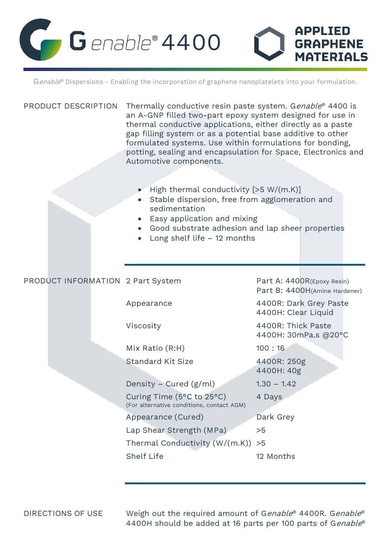

Genable® Dispersions - Enabling the incorporation of graphene nanoplatelets into your formulation.

| PRODUCT DESCRIPTION               | Thermally conductive resin paste system. Genable® 4400 is<br>an A-GNP filled two-part epoxy system designed for use in<br>thermal conductive applications, either directly as a paste<br>gap filling system or as a potential base additive to other<br>formulated systems. Use within formulations for bonding,<br>potting, sealing and encapsulation for Space, Electronics and<br>Automotive components.<br>High thermal conductivity $[>5 W/(m.K)]$<br>Stable dispersion, free from agglomeration and<br>sedimentation<br>Easy application and mixing<br>• Good substrate adhesion and lap sheer properties<br>Long shelf life $-12$ months |                                                             |
|-----------------------------------|-------------------------------------------------------------------------------------------------------------------------------------------------------------------------------------------------------------------------------------------------------------------------------------------------------------------------------------------------------------------------------------------------------------------------------------------------------------------------------------------------------------------------------------------------------------------------------------------------------------------------------------------------|-------------------------------------------------------------|
| PRODUCT INFORMATION 2 Part System |                                                                                                                                                                                                                                                                                                                                                                                                                                                                                                                                                                                                                                                 | Part A: 4400R(Epoxy Resin)<br>Part B: 4400H(Amine Hardener) |
|                                   | Appearance                                                                                                                                                                                                                                                                                                                                                                                                                                                                                                                                                                                                                                      | 4400R: Dark Grey Paste<br>4400H: Clear Liquid               |
|                                   | Viscosity                                                                                                                                                                                                                                                                                                                                                                                                                                                                                                                                                                                                                                       | 4400R: Thick Paste<br>4400H: 30mPa.s @20°C                  |
|                                   | Mix Ratio (R:H)                                                                                                                                                                                                                                                                                                                                                                                                                                                                                                                                                                                                                                 | 100:16                                                      |
|                                   | <b>Standard Kit Size</b>                                                                                                                                                                                                                                                                                                                                                                                                                                                                                                                                                                                                                        | 4400R: 250g<br>4400H: 40g                                   |
|                                   | Density - Cured (g/ml)                                                                                                                                                                                                                                                                                                                                                                                                                                                                                                                                                                                                                          | $1.30 - 1.42$                                               |
|                                   | Curing Time (5°C to 25°C)<br>(For alternative conditions, contact AGM)                                                                                                                                                                                                                                                                                                                                                                                                                                                                                                                                                                          | 4 Days                                                      |
|                                   | Appearance (Cured)                                                                                                                                                                                                                                                                                                                                                                                                                                                                                                                                                                                                                              | Dark Grey                                                   |
|                                   | Lap Shear Strength (MPa)                                                                                                                                                                                                                                                                                                                                                                                                                                                                                                                                                                                                                        | >5                                                          |
|                                   | Thermal Conductivity (W/(m.K))                                                                                                                                                                                                                                                                                                                                                                                                                                                                                                                                                                                                                  | >5                                                          |
|                                   | <b>Shelf Life</b>                                                                                                                                                                                                                                                                                                                                                                                                                                                                                                                                                                                                                               | 12 Months                                                   |

DIRECTIONS OF USE Weigh out the required amount of G*enable®* 4400R. G*enable®* 4400H should be added at 16 parts per 100 parts of G*enable*®